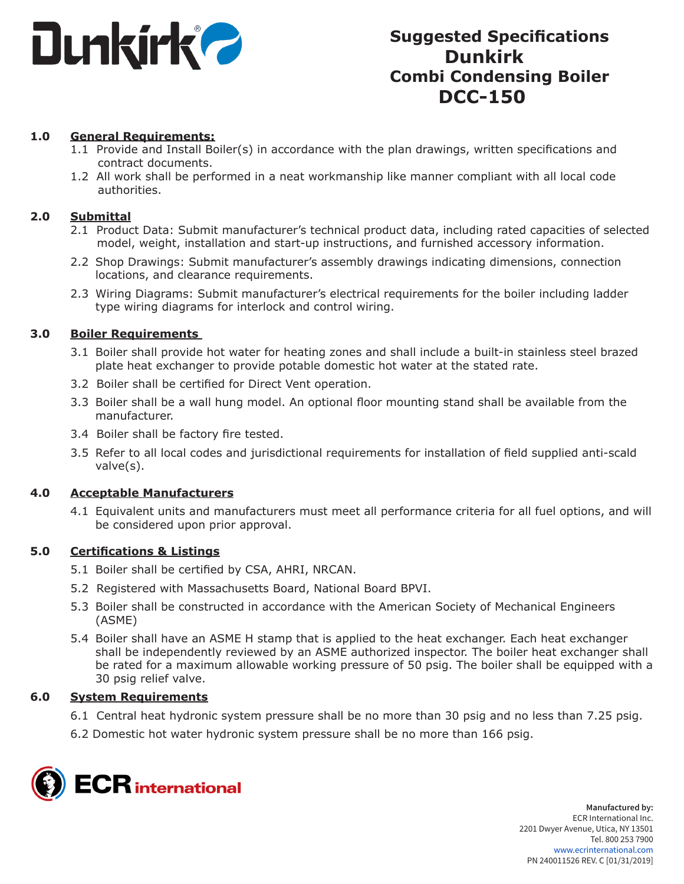

# **Suggested Specifications Dunkirk Combi Condensing Boiler DCC-150**

## **1.0 General Requirements:**

- 1.1 Provide and Install Boiler(s) in accordance with the plan drawings, written specifications and contract documents.
- 1.2 All work shall be performed in a neat workmanship like manner compliant with all local code authorities.

#### **2.0 Submittal**

- 2.1 Product Data: Submit manufacturer's technical product data, including rated capacities of selected model, weight, installation and start-up instructions, and furnished accessory information.
- 2.2 Shop Drawings: Submit manufacturer's assembly drawings indicating dimensions, connection locations, and clearance requirements.
- 2.3 Wiring Diagrams: Submit manufacturer's electrical requirements for the boiler including ladder type wiring diagrams for interlock and control wiring.

## **3.0 Boiler Requirements**

- 3.1 Boiler shall provide hot water for heating zones and shall include a built-in stainless steel brazed plate heat exchanger to provide potable domestic hot water at the stated rate.
- 3.2 Boiler shall be certified for Direct Vent operation.
- 3.3 Boiler shall be a wall hung model. An optional floor mounting stand shall be available from the manufacturer.
- 3.4 Boiler shall be factory fire tested.
- 3.5 Refer to all local codes and jurisdictional requirements for installation of field supplied anti-scald valve(s).

#### **4.0 Acceptable Manufacturers**

4.1 Equivalent units and manufacturers must meet all performance criteria for all fuel options, and will be considered upon prior approval.

#### **5.0 Certifications & Listings**

- 5.1 Boiler shall be certified by CSA, AHRI, NRCAN.
- 5.2 Registered with Massachusetts Board, National Board BPVI.
- 5.3 Boiler shall be constructed in accordance with the American Society of Mechanical Engineers (ASME)
- 5.4 Boiler shall have an ASME H stamp that is applied to the heat exchanger. Each heat exchanger shall be independently reviewed by an ASME authorized inspector. The boiler heat exchanger shall be rated for a maximum allowable working pressure of 50 psig. The boiler shall be equipped with a 30 psig relief valve.

# **6.0 System Requirements**

- 6.1 Central heat hydronic system pressure shall be no more than 30 psig and no less than 7.25 psig.
- 6.2 Domestic hot water hydronic system pressure shall be no more than 166 psig.

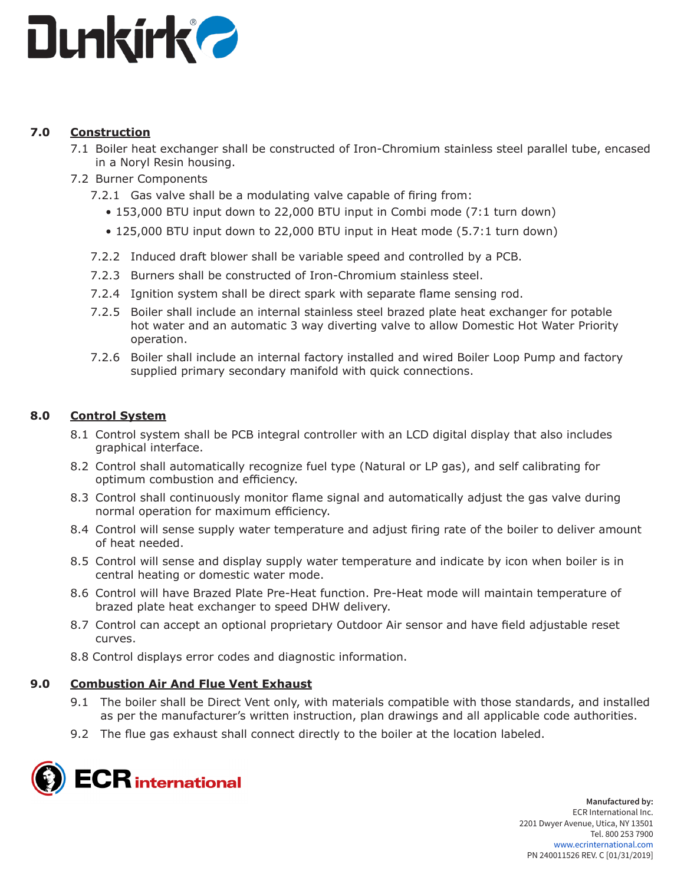

# **7.0 Construction**

- 7.1 Boiler heat exchanger shall be constructed of Iron-Chromium stainless steel parallel tube, encased in a Noryl Resin housing.
- 7.2 Burner Components
	- 7.2.1 Gas valve shall be a modulating valve capable of firing from:
		- 153,000 BTU input down to 22,000 BTU input in Combi mode (7:1 turn down)
		- 125,000 BTU input down to 22,000 BTU input in Heat mode (5.7:1 turn down)
	- 7.2.2 Induced draft blower shall be variable speed and controlled by a PCB.
	- 7.2.3 Burners shall be constructed of Iron-Chromium stainless steel.
	- 7.2.4 Ignition system shall be direct spark with separate flame sensing rod.
	- 7.2.5 Boiler shall include an internal stainless steel brazed plate heat exchanger for potable hot water and an automatic 3 way diverting valve to allow Domestic Hot Water Priority operation.
	- 7.2.6 Boiler shall include an internal factory installed and wired Boiler Loop Pump and factory supplied primary secondary manifold with quick connections.

# **8.0 Control System**

- 8.1 Control system shall be PCB integral controller with an LCD digital display that also includes graphical interface.
- 8.2 Control shall automatically recognize fuel type (Natural or LP gas), and self calibrating for optimum combustion and efficiency.
- 8.3 Control shall continuously monitor flame signal and automatically adjust the gas valve during normal operation for maximum efficiency.
- 8.4 Control will sense supply water temperature and adjust firing rate of the boiler to deliver amount of heat needed.
- 8.5 Control will sense and display supply water temperature and indicate by icon when boiler is in central heating or domestic water mode.
- 8.6 Control will have Brazed Plate Pre-Heat function. Pre-Heat mode will maintain temperature of brazed plate heat exchanger to speed DHW delivery.
- 8.7 Control can accept an optional proprietary Outdoor Air sensor and have field adjustable reset curves.
- 8.8 Control displays error codes and diagnostic information.

# **9.0 Combustion Air And Flue Vent Exhaust**

- 9.1 The boiler shall be Direct Vent only, with materials compatible with those standards, and installed as per the manufacturer's written instruction, plan drawings and all applicable code authorities.
- 9.2 The flue gas exhaust shall connect directly to the boiler at the location labeled.